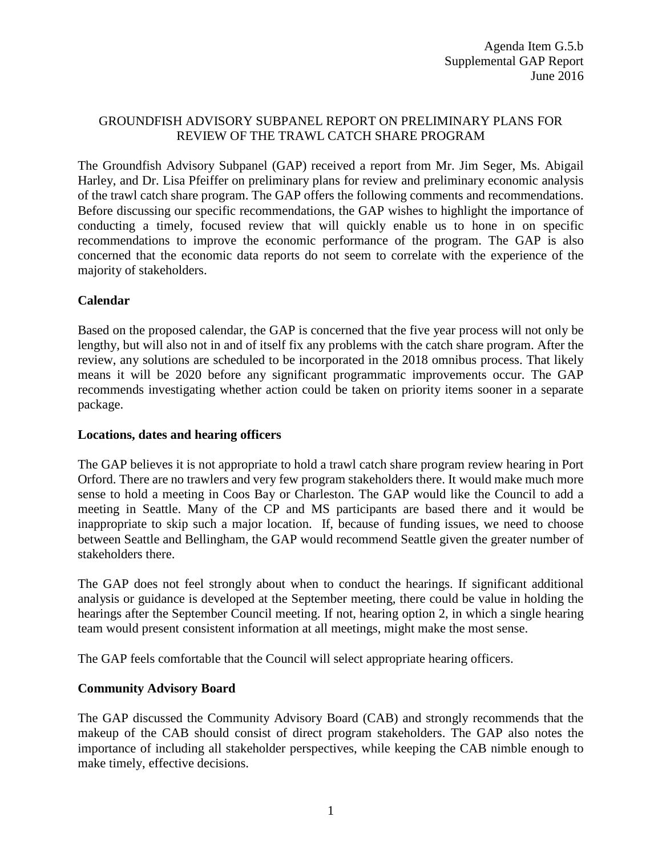## GROUNDFISH ADVISORY SUBPANEL REPORT ON PRELIMINARY PLANS FOR REVIEW OF THE TRAWL CATCH SHARE PROGRAM

The Groundfish Advisory Subpanel (GAP) received a report from Mr. Jim Seger, Ms. Abigail Harley, and Dr. Lisa Pfeiffer on preliminary plans for review and preliminary economic analysis of the trawl catch share program. The GAP offers the following comments and recommendations. Before discussing our specific recommendations, the GAP wishes to highlight the importance of conducting a timely, focused review that will quickly enable us to hone in on specific recommendations to improve the economic performance of the program. The GAP is also concerned that the economic data reports do not seem to correlate with the experience of the majority of stakeholders.

## **Calendar**

Based on the proposed calendar, the GAP is concerned that the five year process will not only be lengthy, but will also not in and of itself fix any problems with the catch share program. After the review, any solutions are scheduled to be incorporated in the 2018 omnibus process. That likely means it will be 2020 before any significant programmatic improvements occur. The GAP recommends investigating whether action could be taken on priority items sooner in a separate package.

## **Locations, dates and hearing officers**

The GAP believes it is not appropriate to hold a trawl catch share program review hearing in Port Orford. There are no trawlers and very few program stakeholders there. It would make much more sense to hold a meeting in Coos Bay or Charleston. The GAP would like the Council to add a meeting in Seattle. Many of the CP and MS participants are based there and it would be inappropriate to skip such a major location. If, because of funding issues, we need to choose between Seattle and Bellingham, the GAP would recommend Seattle given the greater number of stakeholders there.

The GAP does not feel strongly about when to conduct the hearings. If significant additional analysis or guidance is developed at the September meeting, there could be value in holding the hearings after the September Council meeting. If not, hearing option 2, in which a single hearing team would present consistent information at all meetings, might make the most sense.

The GAP feels comfortable that the Council will select appropriate hearing officers.

## **Community Advisory Board**

The GAP discussed the Community Advisory Board (CAB) and strongly recommends that the makeup of the CAB should consist of direct program stakeholders. The GAP also notes the importance of including all stakeholder perspectives, while keeping the CAB nimble enough to make timely, effective decisions.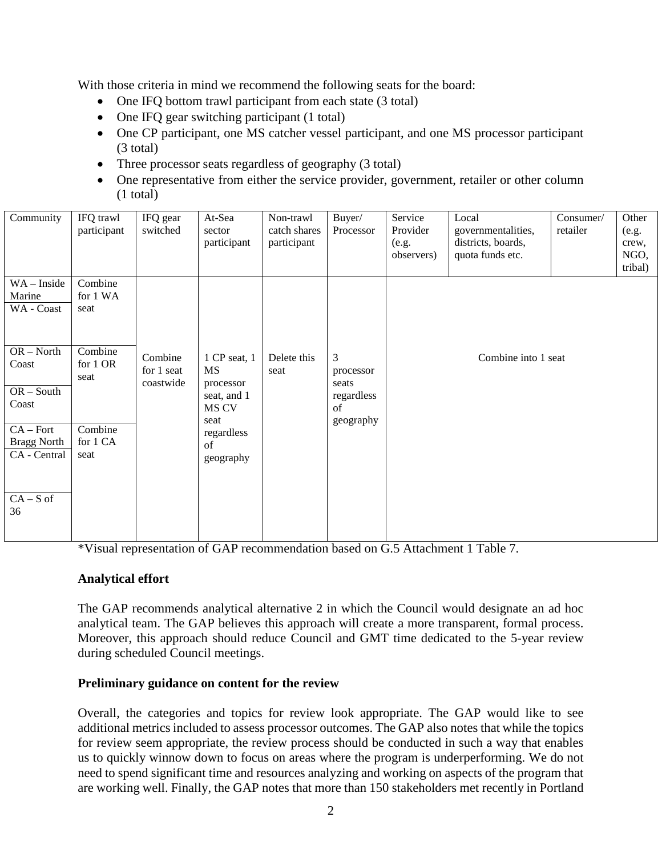With those criteria in mind we recommend the following seats for the board:

- One IFQ bottom trawl participant from each state (3 total)
- One IFQ gear switching participant (1 total)
- One CP participant, one MS catcher vessel participant, and one MS processor participant (3 total)
- Three processor seats regardless of geography (3 total)
- One representative from either the service provider, government, retailer or other column (1 total)

| Community                                         | IFQ trawl<br>participant    | IFQ gear<br>switched               | At-Sea<br>sector<br>participant                         | Non-trawl<br>catch shares<br>participant | Buyer/<br>Processor                         | Service<br>Provider<br>(e.g.<br>observers) | Local<br>governmentalities,<br>districts, boards,<br>quota funds etc. | Consumer/<br>retailer | Other<br>(e.g.<br>crew,<br>NGO,<br>tribal) |
|---------------------------------------------------|-----------------------------|------------------------------------|---------------------------------------------------------|------------------------------------------|---------------------------------------------|--------------------------------------------|-----------------------------------------------------------------------|-----------------------|--------------------------------------------|
| WA - Inside<br>Marine<br>WA - Coast               | Combine<br>for 1 WA<br>seat |                                    |                                                         |                                          |                                             |                                            |                                                                       |                       |                                            |
| $OR - North$<br>Coast<br>$OR - South$<br>Coast    | Combine<br>for 1 OR<br>seat | Combine<br>for 1 seat<br>coastwide | 1 CP seat, 1<br>MS<br>processor<br>seat, and 1<br>MS CV | Delete this<br>seat                      | 3<br>processor<br>seats<br>regardless<br>of |                                            | Combine into 1 seat                                                   |                       |                                            |
| $CA - Fort$<br><b>Bragg North</b><br>CA - Central | Combine<br>for 1 CA<br>seat |                                    | seat<br>regardless<br>of<br>geography                   |                                          | geography                                   |                                            |                                                                       |                       |                                            |
| $CA-S$ of<br>36                                   |                             |                                    |                                                         |                                          |                                             |                                            |                                                                       |                       |                                            |

\*Visual representation of GAP recommendation based on G.5 Attachment 1 Table 7.

### **Analytical effort**

The GAP recommends analytical alternative 2 in which the Council would designate an ad hoc analytical team. The GAP believes this approach will create a more transparent, formal process. Moreover, this approach should reduce Council and GMT time dedicated to the 5-year review during scheduled Council meetings.

### **Preliminary guidance on content for the review**

Overall, the categories and topics for review look appropriate. The GAP would like to see additional metrics included to assess processor outcomes. The GAP also notes that while the topics for review seem appropriate, the review process should be conducted in such a way that enables us to quickly winnow down to focus on areas where the program is underperforming. We do not need to spend significant time and resources analyzing and working on aspects of the program that are working well. Finally, the GAP notes that more than 150 stakeholders met recently in Portland